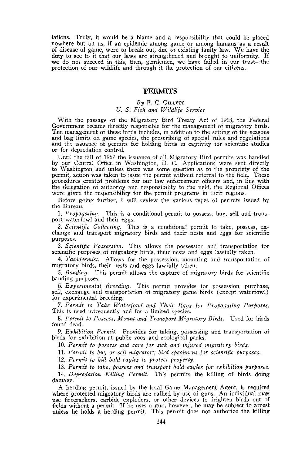lations. Truly, it would be a blame and a responsibility that could be placed nowhere but on us, if an epidemic among game or among humans as a result of disease of game, were to break out, due to existing faulty law. We have the duty to see to it that our laws are strengthened and brought to uniformity. If we do not succeed in this, then, gentlemen, we have failed in our trust-the protection of our wildlife and through it the protection of our citizens.

## **PERMITS**

## $By$  F. C. GILLETT *U.* S. *Fish and Wildlife Service*

With the passage of the Migratory Bird Treaty Act of 1918, the Federal Government became directly responsible for the management of migratory birds.<br>The management of these birds includes, in addition to the setting of the seasons and bag limits on game species, the prescribing of special rules and regulations and the issuance of permits for holding birds in captivity for scientific studies or for depredation control.

Until the fall of 1957 the issuance of all Migratory Bird permits was handled by our Central Office in Washington, D. C. Applications were sent directly to Washington and unless there was some question as to the propriety of the permit, action was taken to issue the permit without referral to the field. These procedures created problems for our law enforcement officers and, in line with the delegation of authority and responsibility to the field, the Regional Offices were given the responsibility for the permit programs in their regions.

Before going further, I will review the various types of permits issued by the Bureau.

1. *Propagating*. This is a conditional permit to possess, buy, sell and transport waterfowl and their eggs.

2. *Scientific* <sup>C</sup>*ollccting.* This is <sup>a</sup> conditional permit to take, possess, ex- change and transport migratory birds and their nests and eggs for scientific purposes.

*3. Scientific Possession.* This allows the possession and transportation for scientific purposes of migratory birds, their nests and eggs lawfully taken.

*4. Taxidermist.* Allows for the possession, mounting and transportation of migratory birds, their nests and eggs lawfully taken.

S. *Banding.* This permit allows the capture of migratory birds for scientific banding purposes.

*6. Experimental Breeding.* This permit provides for possession, purchase, sell, exchange and transportation of migratory game birds (except waterfowl) for experimental breeding.

*7. Permit to Take Waterfowl and Their Eggs for Propagating Purposes.* This is used infrequently and for a limited species.

*8. Permit to Possess, Mount and Tramsport Migratory Birds.* Used for birds found dead.

*9. Exhibition Permit.* Provides for taking, possessing and transportation of birds for exhibition at public zoos and zoological parks.

*10. Permit to possess and care for sick and injured migratory birds.*

11. *Permit to buy or sell migratory bird specimens for scientific purposes.*

*12. Permit to kill bald eagles to protect property.*

*13. Permit to take, possess and transport bald eagles for e%hibition purposes. 14. Depredation Killing Permit.* This permits the killing of birds doing

damage. A herding permit, issued by the local Game Management Agent, is required

where protected migratory birds are rallied by use of guns. An individual may use firecrackers, carbide exploders, or other devices to frighten birds out of fields without a permit. If he uses a gun, however, he may be subject to arrest unless he holds a herding permit. This permit does not authorize the killing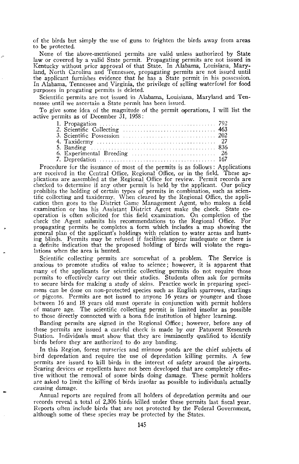of the birds but simply the use of guns to frighten the birds away from areas to be protected.

None of the above-mentioned permits are valid unless authorized by State law or covered by a valid State permit. Propagating permits are not issued in Kentucky without prior approval of that State. In Alabama, Louisiana, Maryland, North Carolina and Tennessee, propagating permits are not issued until the applicant furnishes evidence that he has a State permit in his possession. In Alabama, Tennessee and Virginia, the privilege of selling waterfowl for food purposes in progating permits is deleted.

Scientific permits are not issued in Alabama, Louisiana, Maryland and Ten- nessee until we ascertain <sup>a</sup> State permit has been issued.

To give some idea of the magnitude of the permit operations, I will list the active permits as of December 31, 1958:

| 6. Experimental Breeding $\ldots \ldots \ldots \ldots \ldots \ldots \ldots \ldots$ 26 |  |
|---------------------------------------------------------------------------------------|--|
|                                                                                       |  |

Procedure for the issuance of most of the permits is as follows: Applications are received in the Central Office, Regional Office, or in the field. These applications are assembled at the Regional Office for review. Permit records are checked to determine if any other permit is held by the applicant. Our policy prohibits the holding of certain types of permits in combination, such as scien-tific collecting and taxidermy. When cleared by the Regional Office, the application then goes to the District Game Management Agent, who makes a field examination or has his Assistant District Agent make the check. State co- operation is often solicited for this field examination. On completion of the check the Agent submits his recommendations to the Regional Office. For propagating permits he completes a form which includes a map showing the general plan of the applicant's holdings with relation to water areas and hunt-<br>ing blinds. Permits may be refused if facilities appear inadequate or there is a definite indication that the proposed holding of birds will violate the regulations when the area is hunted.

Scientific collecting permits are somewhat of a problem. The Service is anxious to promote studies of value to science; however, it is apparent that many of the applicants for scientific collecting permits do not require those permits to effectively carry out their studies. Students often ask for permits to secure birds for making a study of skins. Practice work in preparing specimens can be done on non-protected species such as English sparrows, starlings or pigeons. Permits are not issued to anyone 16 years or younger and those between 16 and 18 years old must operate in conjunction with permit holders of mature age. The scientific collecting permit is limited insofar as possible to those directly connected with a bona fide institution of higher learning.

Banding permits are signed in the Regional Office; however, before any of these permits are issued a careful check is made by our Patuxent Research Station. Individuals must show that they are imminently qualified to identify birds before they are authorized to do any banding.

In this Region, forest nurseries and minnow ponds are the chief subjects of bird depredation and require the use of depredation killing permits. A few permits are issued to kill birds in the interest of safety around the airports. Scaring devices or repellents have not been developed that are completely effective without the removal of some birds doing damage. These permit holders are asked to limit the killing of birds insofar as possible to individuals actually causing damage.

Annual reports are required from all holders of depredation permits and our records reveal a total of  $2,306$  birds killed under these permits last fiscal year. Reports often include birds that are not protected by the Federal Government, although some of these species may be protected by the States.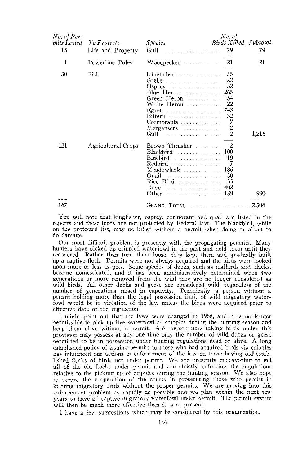| 1<br>Powerline Poles<br>-55<br>30<br>Fish<br>Kingfisher<br>Grebe $\ldots \ldots \ldots \ldots \ldots$<br>22                                                                                    | 21    |
|------------------------------------------------------------------------------------------------------------------------------------------------------------------------------------------------|-------|
|                                                                                                                                                                                                |       |
| 32<br>-265<br>Blue Heron $\ldots$<br>34<br>Green Heron<br>White Heron<br>22<br>Egret  743<br>Bittern<br>32<br>7<br>Cormorants<br>2<br>Mergansers<br>$\overline{c}$<br>Gull                     | 1,216 |
| 121<br>Agricultural Crops<br>Brown Thrasher<br>$Blackbird$<br>100<br>Bluebird<br>19<br>7<br>Redbird<br>186<br>Meadowlark<br>30<br>Quail<br>Rice Bird<br>55<br>402<br>Dove<br>Other<br>189<br>. | 990   |
| 167<br>GRAND TOTAL                                                                                                                                                                             | 2,306 |

You wiII note that kingfisher, osprey, cormorant and quail are listed in the reports and these birds are not protected by Federal law. The blackbird, while on the protected list, may be killed without a permit when doing or about to do damage.

Our most difficult problem is presently with the propagating permits. Many hunters have picked up crippled waterfowl in the past and held them until they recovered. Rather than turn them loose, they kept them and gradually built up a captive flock. Permits were not always acquired and the birds were looked upon more or less as pets. Some sprecies of ducks, such as mallards and blacks, become domesticated, and it has been administratively determined when two generations or more removed from the wild they are no longer considered as wild birds. All other ducks and geese are considered wild, regardless of the number of generations raised in captivity. Technically, a person without a permit holding more than the legal possession limit of wild migratory waterfowl would be in violation of the law unless the birds were acquired prior to effective date of the regulation.

I might point out that the laws were changed in 1958, and it is no longer permissible to pick up live waterfowl as cripples during the hunting season and keep them alive without a permit. Any person now taking birds under this provision may possess at anyone time only the number of wild ducks or geese permitted to be in possession under hunting regulations dead or alive. A long established policy of issuing permits to those who had acquired birds via cripples has influenced our actions in enforcement of the law on those having old' established flocks of birds not under permit. Weare presently endeavoring to get all of the old flocks under permit and are strictly enforcing the regulations relative to the picking up of cripples during the hunting season. We also hope to secure the cooperation of the courts in prosecuting those who persist in keeping migratory birds without the proper permits. We are moving into this enforcement problem as rapidly as possible and we plan within the next few years to have all captive migratory waterfowl under permit. The permit system will then be much more effective than it is at present.

I have a few suggestions which may be considered by this organization.